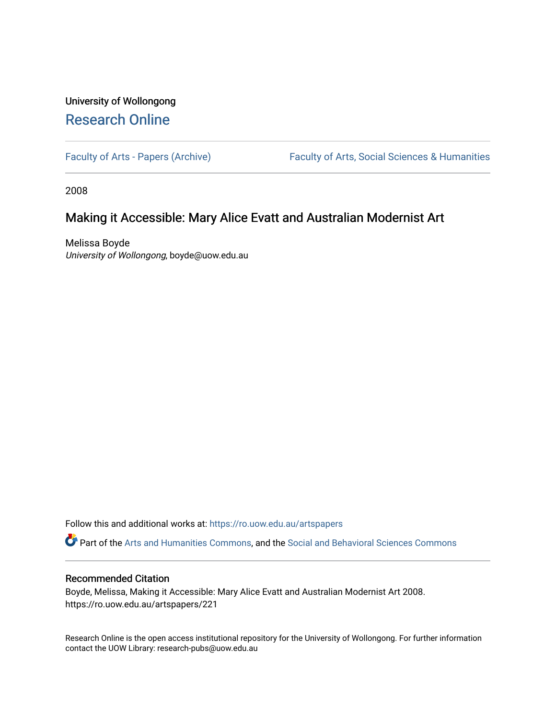## University of Wollongong [Research Online](https://ro.uow.edu.au/)

[Faculty of Arts - Papers \(Archive\)](https://ro.uow.edu.au/artspapers) Faculty of Arts, Social Sciences & Humanities

2008

### Making it Accessible: Mary Alice Evatt and Australian Modernist Art

Melissa Boyde University of Wollongong, boyde@uow.edu.au

Follow this and additional works at: [https://ro.uow.edu.au/artspapers](https://ro.uow.edu.au/artspapers?utm_source=ro.uow.edu.au%2Fartspapers%2F221&utm_medium=PDF&utm_campaign=PDFCoverPages) 

Part of the [Arts and Humanities Commons,](http://network.bepress.com/hgg/discipline/438?utm_source=ro.uow.edu.au%2Fartspapers%2F221&utm_medium=PDF&utm_campaign=PDFCoverPages) and the [Social and Behavioral Sciences Commons](http://network.bepress.com/hgg/discipline/316?utm_source=ro.uow.edu.au%2Fartspapers%2F221&utm_medium=PDF&utm_campaign=PDFCoverPages)

#### Recommended Citation

Boyde, Melissa, Making it Accessible: Mary Alice Evatt and Australian Modernist Art 2008. https://ro.uow.edu.au/artspapers/221

Research Online is the open access institutional repository for the University of Wollongong. For further information contact the UOW Library: research-pubs@uow.edu.au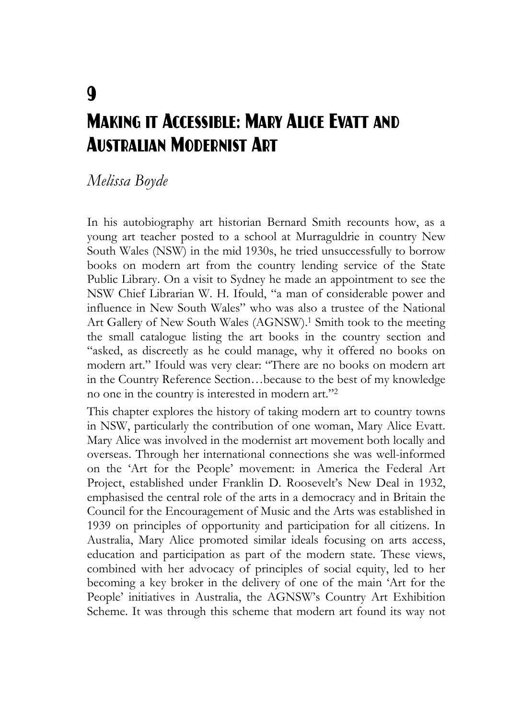# $\mathbf Q$ Making it Accessible: Mary Alice Evatt and Australian Modernist Art

### *Melissa Boyde*

In his autobiography art historian Bernard Smith recounts how, as a young art teacher posted to a school at Murraguldrie in country New South Wales (NSW) in the mid 1930s, he tried unsuccessfully to borrow books on modern art from the country lending service of the State Public Library. On a visit to Sydney he made an appointment to see the NSW Chief Librarian W. H. Ifould, "a man of considerable power and influence in New South Wales" who was also a trustee of the National Art Gallery of New South Wales (AGNSW).<sup>1</sup> Smith took to the meeting the small catalogue listing the art books in the country section and "asked, as discreetly as he could manage, why it offered no books on modern art." Ifould was very clear: "There are no books on modern art in the Country Reference Section…because to the best of my knowledge no one in the country is interested in modern art."2

This chapter explores the history of taking modern art to country towns in NSW, particularly the contribution of one woman, Mary Alice Evatt. Mary Alice was involved in the modernist art movement both locally and overseas. Through her international connections she was well-informed on the 'Art for the People' movement: in America the Federal Art Project, established under Franklin D. Roosevelt's New Deal in 1932, emphasised the central role of the arts in a democracy and in Britain the Council for the Encouragement of Music and the Arts was established in 1939 on principles of opportunity and participation for all citizens. In Australia, Mary Alice promoted similar ideals focusing on arts access, education and participation as part of the modern state. These views, combined with her advocacy of principles of social equity, led to her becoming a key broker in the delivery of one of the main 'Art for the People' initiatives in Australia, the AGNSW's Country Art Exhibition Scheme. It was through this scheme that modern art found its way not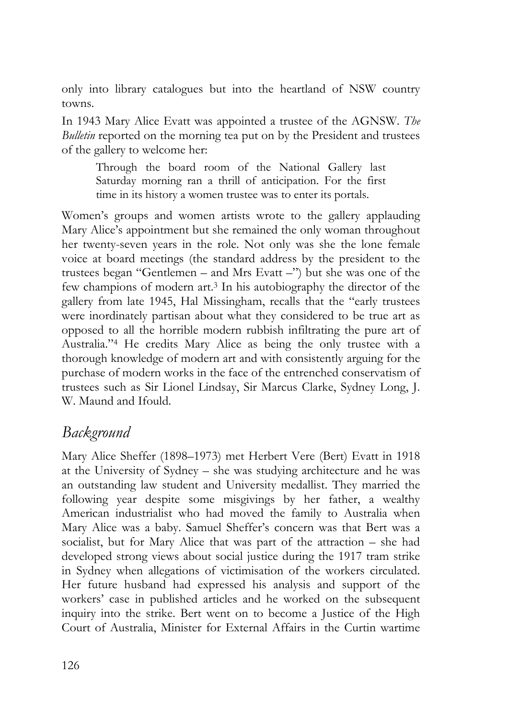only into library catalogues but into the heartland of NSW country towns.

In 1943 Mary Alice Evatt was appointed a trustee of the AGNSW. *The Bulletin* reported on the morning tea put on by the President and trustees of the gallery to welcome her:

Through the board room of the National Gallery last Saturday morning ran a thrill of anticipation. For the first time in its history a women trustee was to enter its portals.

Women's groups and women artists wrote to the gallery applauding Mary Alice's appointment but she remained the only woman throughout her twenty-seven years in the role. Not only was she the lone female voice at board meetings (the standard address by the president to the trustees began "Gentlemen – and Mrs Evatt –") but she was one of the few champions of modern art.3 In his autobiography the director of the gallery from late 1945, Hal Missingham, recalls that the "early trustees were inordinately partisan about what they considered to be true art as opposed to all the horrible modern rubbish infiltrating the pure art of Australia."4 He credits Mary Alice as being the only trustee with a thorough knowledge of modern art and with consistently arguing for the purchase of modern works in the face of the entrenched conservatism of trustees such as Sir Lionel Lindsay, Sir Marcus Clarke, Sydney Long, J. W. Maund and Ifould.

### *Background*

Mary Alice Sheffer (1898–1973) met Herbert Vere (Bert) Evatt in 1918 at the University of Sydney – she was studying architecture and he was an outstanding law student and University medallist. They married the following year despite some misgivings by her father, a wealthy American industrialist who had moved the family to Australia when Mary Alice was a baby. Samuel Sheffer's concern was that Bert was a socialist, but for Mary Alice that was part of the attraction – she had developed strong views about social justice during the 1917 tram strike in Sydney when allegations of victimisation of the workers circulated. Her future husband had expressed his analysis and support of the workers' case in published articles and he worked on the subsequent inquiry into the strike. Bert went on to become a Justice of the High Court of Australia, Minister for External Affairs in the Curtin wartime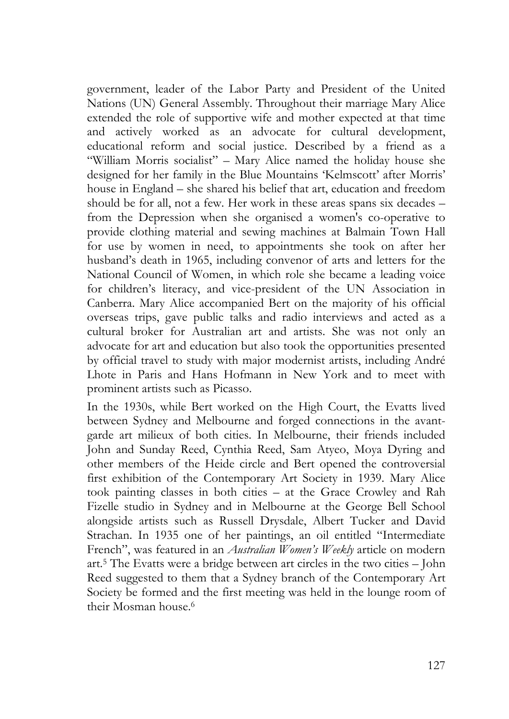government, leader of the Labor Party and President of the United Nations (UN) General Assembly. Throughout their marriage Mary Alice extended the role of supportive wife and mother expected at that time and actively worked as an advocate for cultural development, educational reform and social justice. Described by a friend as a "William Morris socialist" – Mary Alice named the holiday house she designed for her family in the Blue Mountains 'Kelmscott' after Morris' house in England – she shared his belief that art, education and freedom should be for all, not a few. Her work in these areas spans six decades – from the Depression when she organised a women's co-operative to provide clothing material and sewing machines at Balmain Town Hall for use by women in need, to appointments she took on after her husband's death in 1965, including convenor of arts and letters for the National Council of Women, in which role she became a leading voice for children's literacy, and vice-president of the UN Association in Canberra. Mary Alice accompanied Bert on the majority of his official overseas trips, gave public talks and radio interviews and acted as a cultural broker for Australian art and artists. She was not only an advocate for art and education but also took the opportunities presented by official travel to study with major modernist artists, including André Lhote in Paris and Hans Hofmann in New York and to meet with prominent artists such as Picasso.

In the 1930s, while Bert worked on the High Court, the Evatts lived between Sydney and Melbourne and forged connections in the avantgarde art milieux of both cities. In Melbourne, their friends included John and Sunday Reed, Cynthia Reed, Sam Atyeo, Moya Dyring and other members of the Heide circle and Bert opened the controversial first exhibition of the Contemporary Art Society in 1939. Mary Alice took painting classes in both cities – at the Grace Crowley and Rah Fizelle studio in Sydney and in Melbourne at the George Bell School alongside artists such as Russell Drysdale, Albert Tucker and David Strachan. In 1935 one of her paintings, an oil entitled "Intermediate French", was featured in an *Australian Women's Weekly* article on modern art.5 The Evatts were a bridge between art circles in the two cities – John Reed suggested to them that a Sydney branch of the Contemporary Art Society be formed and the first meeting was held in the lounge room of their Mosman house.6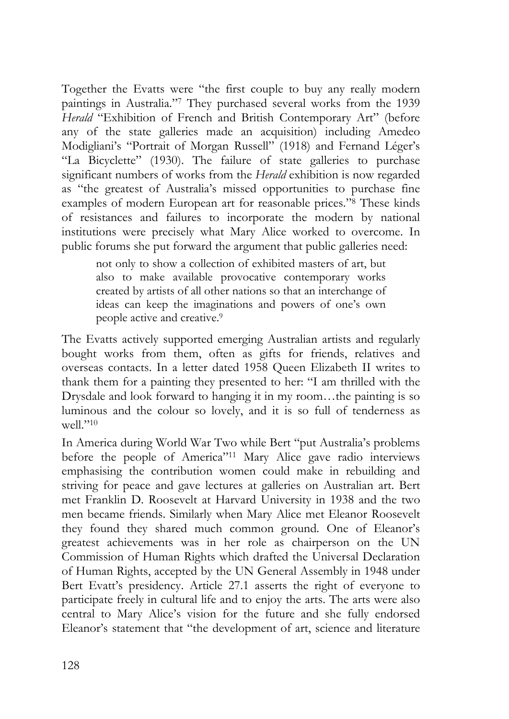Together the Evatts were "the first couple to buy any really modern paintings in Australia."7 They purchased several works from the 1939 *Herald* "Exhibition of French and British Contemporary Art" (before any of the state galleries made an acquisition) including Amedeo Modigliani's "Portrait of Morgan Russell" (1918) and Fernand Léger's "La Bicyclette" (1930). The failure of state galleries to purchase significant numbers of works from the *Herald* exhibition is now regarded as "the greatest of Australia's missed opportunities to purchase fine examples of modern European art for reasonable prices."8 These kinds of resistances and failures to incorporate the modern by national institutions were precisely what Mary Alice worked to overcome. In public forums she put forward the argument that public galleries need:

not only to show a collection of exhibited masters of art, but also to make available provocative contemporary works created by artists of all other nations so that an interchange of ideas can keep the imaginations and powers of one's own people active and creative.9

The Evatts actively supported emerging Australian artists and regularly bought works from them, often as gifts for friends, relatives and overseas contacts. In a letter dated 1958 Queen Elizabeth II writes to thank them for a painting they presented to her: "I am thrilled with the Drysdale and look forward to hanging it in my room…the painting is so luminous and the colour so lovely, and it is so full of tenderness as well $"10$ 

In America during World War Two while Bert "put Australia's problems before the people of America"11 Mary Alice gave radio interviews emphasising the contribution women could make in rebuilding and striving for peace and gave lectures at galleries on Australian art. Bert met Franklin D. Roosevelt at Harvard University in 1938 and the two men became friends. Similarly when Mary Alice met Eleanor Roosevelt they found they shared much common ground. One of Eleanor's greatest achievements was in her role as chairperson on the UN Commission of Human Rights which drafted the Universal Declaration of Human Rights, accepted by the UN General Assembly in 1948 under Bert Evatt's presidency. Article 27.1 asserts the right of everyone to participate freely in cultural life and to enjoy the arts. The arts were also central to Mary Alice's vision for the future and she fully endorsed Eleanor's statement that "the development of art, science and literature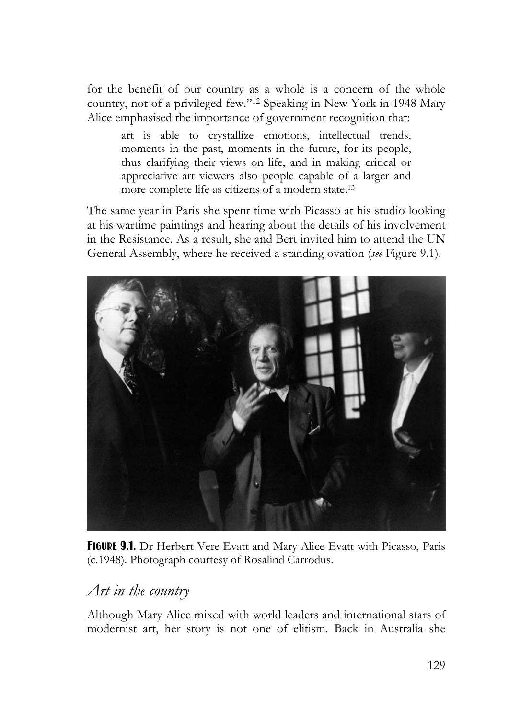for the benefit of our country as a whole is a concern of the whole country, not of a privileged few."12 Speaking in New York in 1948 Mary Alice emphasised the importance of government recognition that:

art is able to crystallize emotions, intellectual trends, moments in the past, moments in the future, for its people, thus clarifying their views on life, and in making critical or appreciative art viewers also people capable of a larger and more complete life as citizens of a modern state.13

The same year in Paris she spent time with Picasso at his studio looking at his wartime paintings and hearing about the details of his involvement in the Resistance. As a result, she and Bert invited him to attend the UN General Assembly, where he received a standing ovation (*see* Figure 9.1).



FIGURE 9.1. Dr Herbert Vere Evatt and Mary Alice Evatt with Picasso, Paris (c.1948). Photograph courtesy of Rosalind Carrodus.

### *Art in the country*

Although Mary Alice mixed with world leaders and international stars of modernist art, her story is not one of elitism. Back in Australia she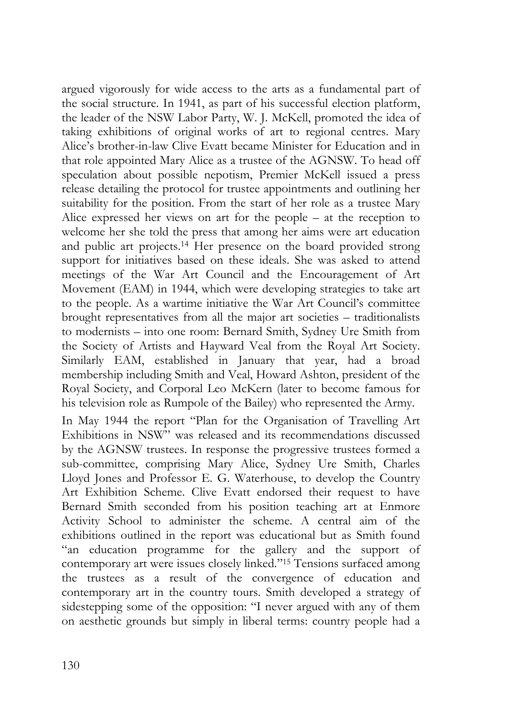argued vigorously for wide access to the arts as a fundamental part of the social structure. In 1941, as part of his successful election platform, the leader of the NSW Labor Party, W. J. McKell, promoted the idea of taking exhibitions of original works of art to regional centres. Mary Alice's brother-in-law Clive Evatt became Minister for Education and in that role appointed Mary Alice as a trustee of the AGNSW. To head off speculation about possible nepotism, Premier McKell issued a press release detailing the protocol for trustee appointments and outlining her suitability for the position. From the start of her role as a trustee Mary Alice expressed her views on art for the people – at the reception to welcome her she told the press that among her aims were art education and public art projects.14 Her presence on the board provided strong support for initiatives based on these ideals. She was asked to attend meetings of the War Art Council and the Encouragement of Art Movement (EAM) in 1944, which were developing strategies to take art to the people. As a wartime initiative the War Art Council's committee brought representatives from all the major art societies – traditionalists to modernists – into one room: Bernard Smith, Sydney Ure Smith from the Society of Artists and Hayward Veal from the Royal Art Society. Similarly EAM, established in January that year, had a broad membership including Smith and Veal, Howard Ashton, president of the Royal Society, and Corporal Leo McKern (later to become famous for his television role as Rumpole of the Bailey) who represented the Army.

In May 1944 the report "Plan for the Organisation of Travelling Art Exhibitions in NSW" was released and its recommendations discussed by the AGNSW trustees. In response the progressive trustees formed a sub-committee, comprising Mary Alice, Sydney Ure Smith, Charles Lloyd Jones and Professor E. G. Waterhouse, to develop the Country Art Exhibition Scheme. Clive Evatt endorsed their request to have Bernard Smith seconded from his position teaching art at Enmore Activity School to administer the scheme. A central aim of the exhibitions outlined in the report was educational but as Smith found "an education programme for the gallery and the support of contemporary art were issues closely linked."15 Tensions surfaced among the trustees as a result of the convergence of education and contemporary art in the country tours. Smith developed a strategy of sidestepping some of the opposition: "I never argued with any of them on aesthetic grounds but simply in liberal terms: country people had a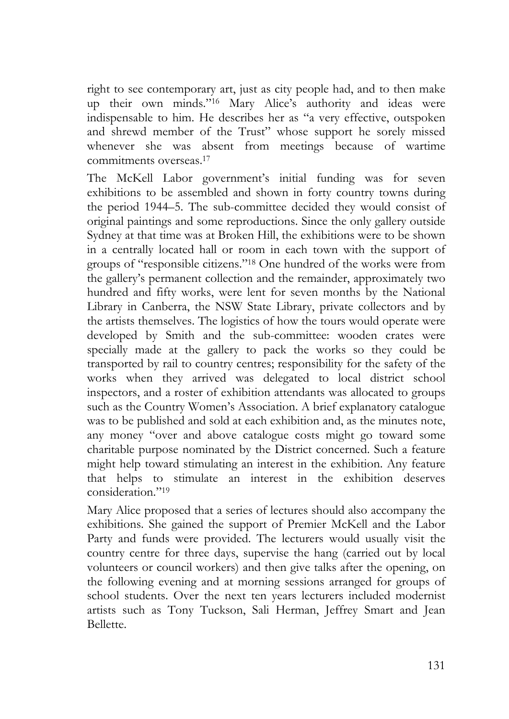right to see contemporary art, just as city people had, and to then make up their own minds."16 Mary Alice's authority and ideas were indispensable to him. He describes her as "a very effective, outspoken and shrewd member of the Trust" whose support he sorely missed whenever she was absent from meetings because of wartime commitments overseas.17

The McKell Labor government's initial funding was for seven exhibitions to be assembled and shown in forty country towns during the period 1944–5. The sub-committee decided they would consist of original paintings and some reproductions. Since the only gallery outside Sydney at that time was at Broken Hill, the exhibitions were to be shown in a centrally located hall or room in each town with the support of groups of "responsible citizens."18 One hundred of the works were from the gallery's permanent collection and the remainder, approximately two hundred and fifty works, were lent for seven months by the National Library in Canberra, the NSW State Library, private collectors and by the artists themselves. The logistics of how the tours would operate were developed by Smith and the sub-committee: wooden crates were specially made at the gallery to pack the works so they could be transported by rail to country centres; responsibility for the safety of the works when they arrived was delegated to local district school inspectors, and a roster of exhibition attendants was allocated to groups such as the Country Women's Association. A brief explanatory catalogue was to be published and sold at each exhibition and, as the minutes note, any money "over and above catalogue costs might go toward some charitable purpose nominated by the District concerned. Such a feature might help toward stimulating an interest in the exhibition. Any feature that helps to stimulate an interest in the exhibition deserves consideration."19

Mary Alice proposed that a series of lectures should also accompany the exhibitions. She gained the support of Premier McKell and the Labor Party and funds were provided. The lecturers would usually visit the country centre for three days, supervise the hang (carried out by local volunteers or council workers) and then give talks after the opening, on the following evening and at morning sessions arranged for groups of school students. Over the next ten years lecturers included modernist artists such as Tony Tuckson, Sali Herman, Jeffrey Smart and Jean Bellette.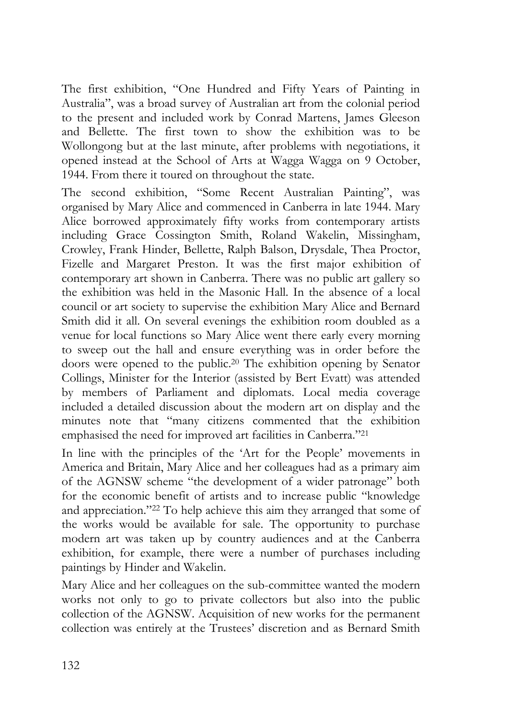The first exhibition, "One Hundred and Fifty Years of Painting in Australia", was a broad survey of Australian art from the colonial period to the present and included work by Conrad Martens, James Gleeson and Bellette. The first town to show the exhibition was to be Wollongong but at the last minute, after problems with negotiations, it opened instead at the School of Arts at Wagga Wagga on 9 October, 1944. From there it toured on throughout the state.

The second exhibition, "Some Recent Australian Painting", was organised by Mary Alice and commenced in Canberra in late 1944. Mary Alice borrowed approximately fifty works from contemporary artists including Grace Cossington Smith, Roland Wakelin, Missingham, Crowley, Frank Hinder, Bellette, Ralph Balson, Drysdale, Thea Proctor, Fizelle and Margaret Preston. It was the first major exhibition of contemporary art shown in Canberra. There was no public art gallery so the exhibition was held in the Masonic Hall. In the absence of a local council or art society to supervise the exhibition Mary Alice and Bernard Smith did it all. On several evenings the exhibition room doubled as a venue for local functions so Mary Alice went there early every morning to sweep out the hall and ensure everything was in order before the doors were opened to the public.20 The exhibition opening by Senator Collings, Minister for the Interior (assisted by Bert Evatt) was attended by members of Parliament and diplomats. Local media coverage included a detailed discussion about the modern art on display and the minutes note that "many citizens commented that the exhibition emphasised the need for improved art facilities in Canberra."21

In line with the principles of the 'Art for the People' movements in America and Britain, Mary Alice and her colleagues had as a primary aim of the AGNSW scheme "the development of a wider patronage" both for the economic benefit of artists and to increase public "knowledge and appreciation."22 To help achieve this aim they arranged that some of the works would be available for sale. The opportunity to purchase modern art was taken up by country audiences and at the Canberra exhibition, for example, there were a number of purchases including paintings by Hinder and Wakelin.

Mary Alice and her colleagues on the sub-committee wanted the modern works not only to go to private collectors but also into the public collection of the AGNSW. Acquisition of new works for the permanent collection was entirely at the Trustees' discretion and as Bernard Smith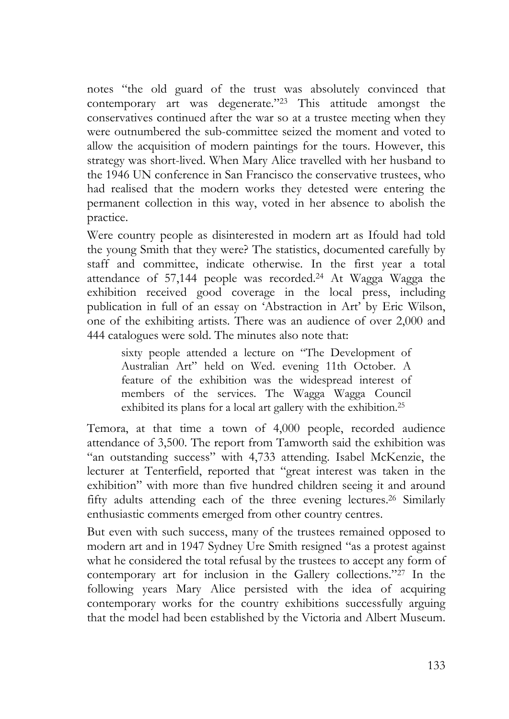notes "the old guard of the trust was absolutely convinced that contemporary art was degenerate."23 This attitude amongst the conservatives continued after the war so at a trustee meeting when they were outnumbered the sub-committee seized the moment and voted to allow the acquisition of modern paintings for the tours. However, this strategy was short-lived. When Mary Alice travelled with her husband to the 1946 UN conference in San Francisco the conservative trustees, who had realised that the modern works they detested were entering the permanent collection in this way, voted in her absence to abolish the practice.

Were country people as disinterested in modern art as Ifould had told the young Smith that they were? The statistics, documented carefully by staff and committee, indicate otherwise. In the first year a total attendance of 57,144 people was recorded.24 At Wagga Wagga the exhibition received good coverage in the local press, including publication in full of an essay on 'Abstraction in Art' by Eric Wilson, one of the exhibiting artists. There was an audience of over 2,000 and 444 catalogues were sold. The minutes also note that:

sixty people attended a lecture on "The Development of Australian Art" held on Wed. evening 11th October. A feature of the exhibition was the widespread interest of members of the services. The Wagga Wagga Council exhibited its plans for a local art gallery with the exhibition.<sup>25</sup>

Temora, at that time a town of 4,000 people, recorded audience attendance of 3,500. The report from Tamworth said the exhibition was "an outstanding success" with 4,733 attending. Isabel McKenzie, the lecturer at Tenterfield, reported that "great interest was taken in the exhibition" with more than five hundred children seeing it and around fifty adults attending each of the three evening lectures.26 Similarly enthusiastic comments emerged from other country centres.

But even with such success, many of the trustees remained opposed to modern art and in 1947 Sydney Ure Smith resigned "as a protest against what he considered the total refusal by the trustees to accept any form of contemporary art for inclusion in the Gallery collections."27 In the following years Mary Alice persisted with the idea of acquiring contemporary works for the country exhibitions successfully arguing that the model had been established by the Victoria and Albert Museum.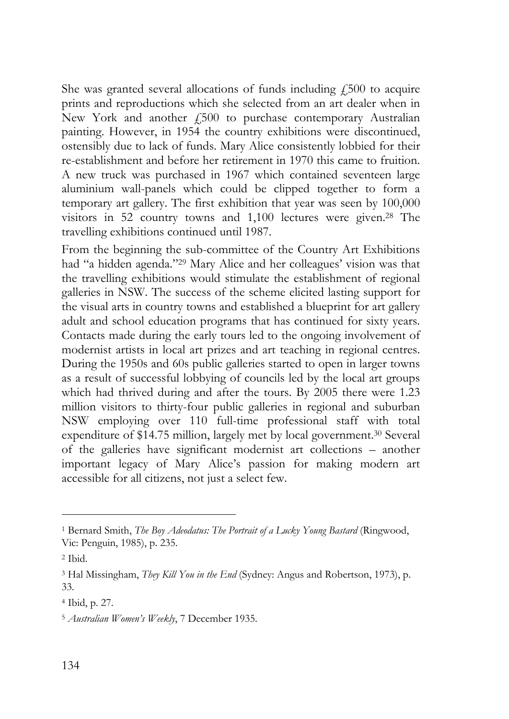She was granted several allocations of funds including  $f_{1500}$  to acquire prints and reproductions which she selected from an art dealer when in New York and another £500 to purchase contemporary Australian painting. However, in 1954 the country exhibitions were discontinued, ostensibly due to lack of funds. Mary Alice consistently lobbied for their re-establishment and before her retirement in 1970 this came to fruition. A new truck was purchased in 1967 which contained seventeen large aluminium wall-panels which could be clipped together to form a temporary art gallery. The first exhibition that year was seen by 100,000 visitors in 52 country towns and 1,100 lectures were given.28 The travelling exhibitions continued until 1987.

From the beginning the sub-committee of the Country Art Exhibitions had "a hidden agenda."29 Mary Alice and her colleagues' vision was that the travelling exhibitions would stimulate the establishment of regional galleries in NSW. The success of the scheme elicited lasting support for the visual arts in country towns and established a blueprint for art gallery adult and school education programs that has continued for sixty years. Contacts made during the early tours led to the ongoing involvement of modernist artists in local art prizes and art teaching in regional centres. During the 1950s and 60s public galleries started to open in larger towns as a result of successful lobbying of councils led by the local art groups which had thrived during and after the tours. By 2005 there were 1.23 million visitors to thirty-four public galleries in regional and suburban NSW employing over 110 full-time professional staff with total expenditure of \$14.75 million, largely met by local government.30 Several of the galleries have significant modernist art collections – another important legacy of Mary Alice's passion for making modern art accessible for all citizens, not just a select few.

 $\ddot{ }$ 

<sup>1</sup> Bernard Smith, *The Boy Adeodatus: The Portrait of a Lucky Young Bastard* (Ringwood, Vic: Penguin, 1985), p. 235.

<sup>2</sup> Ibid.

<sup>3</sup> Hal Missingham, *They Kill You in the End* (Sydney: Angus and Robertson, 1973), p. 33.

<sup>4</sup> Ibid, p. 27.

<sup>5</sup> *Australian Women's Weekly*, 7 December 1935.